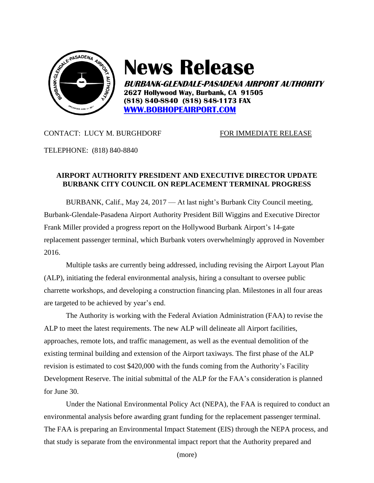

# **News Release**

**BURBANK-GLENDALE-PASADENA AIRPORT AUTHORITY 2627 Hollywood Way, Burbank, CA 91505 (818) 840-8840 (818) 848-1173 FAX [WWW.BOBHOPEAIRPORT.COM](http://www.bobhopeairport.com/)**

## CONTACT: LUCY M. BURGHDORF FOR IMMEDIATE RELEASE

TELEPHONE: (818) 840-8840

# **AIRPORT AUTHORITY PRESIDENT AND EXECUTIVE DIRECTOR UPDATE BURBANK CITY COUNCIL ON REPLACEMENT TERMINAL PROGRESS**

BURBANK, Calif., May 24, 2017 — At last night's Burbank City Council meeting, Burbank-Glendale-Pasadena Airport Authority President Bill Wiggins and Executive Director Frank Miller provided a progress report on the Hollywood Burbank Airport's 14-gate replacement passenger terminal, which Burbank voters overwhelmingly approved in November 2016.

Multiple tasks are currently being addressed, including revising the Airport Layout Plan (ALP), initiating the federal environmental analysis, hiring a consultant to oversee public charrette workshops, and developing a construction financing plan. Milestones in all four areas are targeted to be achieved by year's end.

The Authority is working with the Federal Aviation Administration (FAA) to revise the ALP to meet the latest requirements. The new ALP will delineate all Airport facilities, approaches, remote lots, and traffic management, as well as the eventual demolition of the existing terminal building and extension of the Airport taxiways. The first phase of the ALP revision is estimated to cost \$420,000 with the funds coming from the Authority's Facility Development Reserve. The initial submittal of the ALP for the FAA's consideration is planned for June 30.

Under the National Environmental Policy Act (NEPA), the FAA is required to conduct an environmental analysis before awarding grant funding for the replacement passenger terminal. The FAA is preparing an Environmental Impact Statement (EIS) through the NEPA process, and that study is separate from the environmental impact report that the Authority prepared and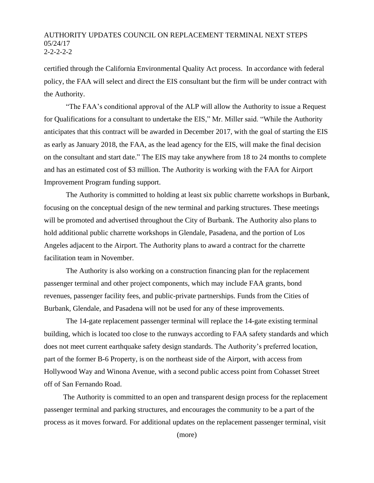#### AUTHORITY UPDATES COUNCIL ON REPLACEMENT TERMINAL NEXT STEPS 05/24/17 2-2-2-2-2

certified through the California Environmental Quality Act process. In accordance with federal policy, the FAA will select and direct the EIS consultant but the firm will be under contract with the Authority.

"The FAA's conditional approval of the ALP will allow the Authority to issue a Request for Qualifications for a consultant to undertake the EIS," Mr. Miller said. "While the Authority anticipates that this contract will be awarded in December 2017, with the goal of starting the EIS as early as January 2018, the FAA, as the lead agency for the EIS, will make the final decision on the consultant and start date." The EIS may take anywhere from 18 to 24 months to complete and has an estimated cost of \$3 million. The Authority is working with the FAA for Airport Improvement Program funding support.

The Authority is committed to holding at least six public charrette workshops in Burbank, focusing on the conceptual design of the new terminal and parking structures. These meetings will be promoted and advertised throughout the City of Burbank. The Authority also plans to hold additional public charrette workshops in Glendale, Pasadena, and the portion of Los Angeles adjacent to the Airport. The Authority plans to award a contract for the charrette facilitation team in November.

The Authority is also working on a construction financing plan for the replacement passenger terminal and other project components, which may include FAA grants, bond revenues, passenger facility fees, and public-private partnerships. Funds from the Cities of Burbank, Glendale, and Pasadena will not be used for any of these improvements.

The 14-gate replacement passenger terminal will replace the 14-gate existing terminal building, which is located too close to the runways according to FAA safety standards and which does not meet current earthquake safety design standards. The Authority's preferred location, part of the former B-6 Property, is on the northeast side of the Airport, with access from Hollywood Way and Winona Avenue, with a second public access point from Cohasset Street off of San Fernando Road.

The Authority is committed to an open and transparent design process for the replacement passenger terminal and parking structures, and encourages the community to be a part of the process as it moves forward. For additional updates on the replacement passenger terminal, visit

(more)